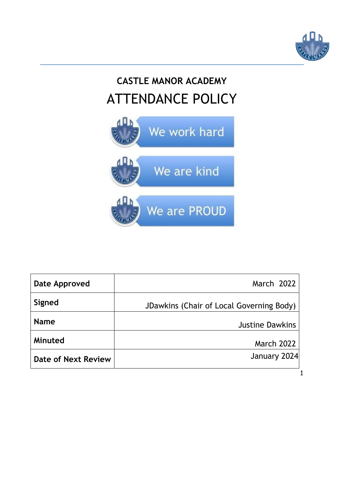

1

# **CASTLE MANOR ACADEMY** ATTENDANCE POLICY



| Date Approved       | March 2022                               |
|---------------------|------------------------------------------|
| Signed              | JDawkins (Chair of Local Governing Body) |
| <b>Name</b>         | <b>Justine Dawkins</b>                   |
| Minuted             | <b>March 2022</b>                        |
| Date of Next Review | January 2024                             |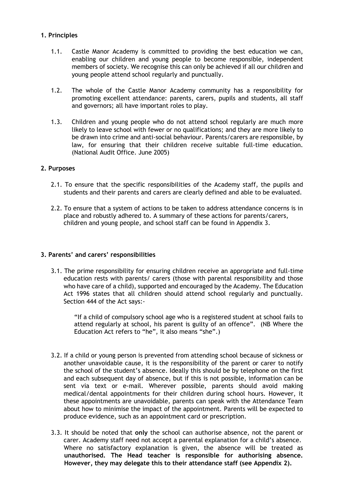# **1. Principles**

- 1.1. Castle Manor Academy is committed to providing the best education we can, enabling our children and young people to become responsible, independent members of society. We recognise this can only be achieved if all our children and young people attend school regularly and punctually.
- 1.2. The whole of the Castle Manor Academy community has a responsibility for promoting excellent attendance: parents, carers, pupils and students, all staff and governors; all have important roles to play.
- 1.3. Children and young people who do not attend school regularly are much more likely to leave school with fewer or no qualifications; and they are more likely to be drawn into crime and anti-social behaviour. Parents/carers are responsible, by law, for ensuring that their children receive suitable full-time education. (National Audit Office. June 2005)

# **2. Purposes**

- 2.1. To ensure that the specific responsibilities of the Academy staff, the pupils and students and their parents and carers are clearly defined and able to be evaluated.
- 2.2. To ensure that a system of actions to be taken to address attendance concerns is in place and robustly adhered to. A summary of these actions for parents/carers, children and young people, and school staff can be found in Appendix 3.

# **3. Parents' and carers' responsibilities**

3.1. The prime responsibility for ensuring children receive an appropriate and full-time education rests with parents/ carers (those with parental responsibility and those who have care of a child), supported and encouraged by the Academy. The Education Act 1996 states that all children should attend school regularly and punctually. Section 444 of the Act says:-

"If a child of compulsory school age who is a registered student at school fails to attend regularly at school, his parent is guilty of an offence". (NB Where the Education Act refers to "he", it also means "she".)

- 3.2. If a child or young person is prevented from attending school because of sickness or another unavoidable cause, it is the responsibility of the parent or carer to notify the school of the student's absence. Ideally this should be by telephone on the first and each subsequent day of absence, but if this is not possible, information can be sent via text or e-mail. Wherever possible, parents should avoid making medical/dental appointments for their children during school hours. However, it these appointments are unavoidable, parents can speak with the Attendance Team about how to minimise the impact of the appointment. Parents will be expected to produce evidence, such as an appointment card or prescription.
- 3.3. It should be noted that **only** the school can authorise absence, not the parent or carer. Academy staff need not accept a parental explanation for a child's absence. Where no satisfactory explanation is given, the absence will be treated as **unauthorised. The Head teacher is responsible for authorising absence. However, they may delegate this to their attendance staff (see Appendix 2).**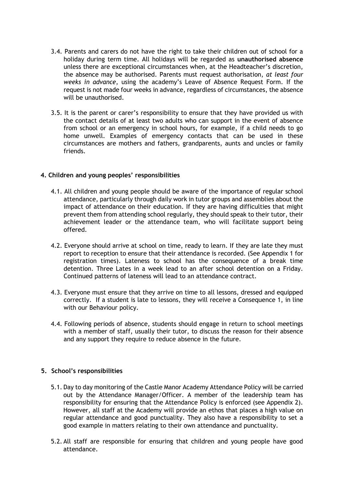- 3.4. Parents and carers do not have the right to take their children out of school for a holiday during term time. All holidays will be regarded as **unauthorised absence** unless there are exceptional circumstances when, at the Headteacher's discretion, the absence may be authorised. Parents must request authorisation, *at least four weeks in advance*, using the academy's Leave of Absence Request Form. If the request is not made four weeks in advance, regardless of circumstances, the absence will be unauthorised.
- 3.5. It is the parent or carer's responsibility to ensure that they have provided us with the contact details of at least two adults who can support in the event of absence from school or an emergency in school hours, for example, if a child needs to go home unwell. Examples of emergency contacts that can be used in these circumstances are mothers and fathers, grandparents, aunts and uncles or family friends.

# **4. Children and young peoples' responsibilities**

- 4.1. All children and young people should be aware of the importance of regular school attendance, particularly through daily work in tutor groups and assemblies about the impact of attendance on their education. If they are having difficulties that might prevent them from attending school regularly, they should speak to their tutor, their achievement leader or the attendance team, who will facilitate support being offered.
- 4.2. Everyone should arrive at school on time, ready to learn. If they are late they must report to reception to ensure that their attendance is recorded. (See Appendix 1 for registration times). Lateness to school has the consequence of a break time detention. Three Lates in a week lead to an after school detention on a Friday. Continued patterns of lateness will lead to an attendance contract.
- 4.3. Everyone must ensure that they arrive on time to all lessons, dressed and equipped correctly. If a student is late to lessons, they will receive a Consequence 1, in line with our Behaviour policy.
- 4.4. Following periods of absence, students should engage in return to school meetings with a member of staff, usually their tutor, to discuss the reason for their absence and any support they require to reduce absence in the future.

# **5. School's responsibilities**

- 5.1. Day to day monitoring of the Castle Manor Academy Attendance Policy will be carried out by the Attendance Manager/Officer. A member of the leadership team has responsibility for ensuring that the Attendance Policy is enforced (see Appendix 2). However, all staff at the Academy will provide an ethos that places a high value on regular attendance and good punctuality. They also have a responsibility to set a good example in matters relating to their own attendance and punctuality.
- 5.2. All staff are responsible for ensuring that children and young people have good attendance.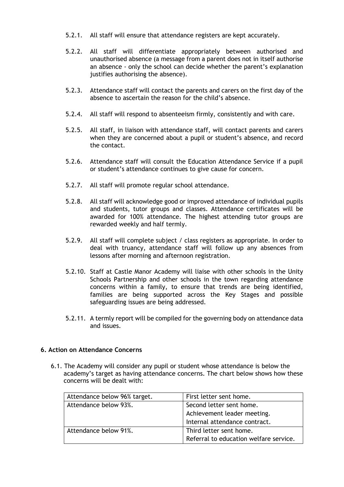- 5.2.1. All staff will ensure that attendance registers are kept accurately.
- 5.2.2. All staff will differentiate appropriately between authorised and unauthorised absence (a message from a parent does not in itself authorise an absence - only the school can decide whether the parent's explanation justifies authorising the absence).
- 5.2.3. Attendance staff will contact the parents and carers on the first day of the absence to ascertain the reason for the child's absence.
- 5.2.4. All staff will respond to absenteeism firmly, consistently and with care.
- 5.2.5. All staff, in liaison with attendance staff, will contact parents and carers when they are concerned about a pupil or student's absence, and record the contact.
- 5.2.6. Attendance staff will consult the Education Attendance Service if a pupil or student's attendance continues to give cause for concern.
- 5.2.7. All staff will promote regular school attendance.
- 5.2.8. All staff will acknowledge good or improved attendance of individual pupils and students, tutor groups and classes. Attendance certificates will be awarded for 100% attendance. The highest attending tutor groups are rewarded weekly and half termly.
- 5.2.9. All staff will complete subject / class registers as appropriate. In order to deal with truancy, attendance staff will follow up any absences from lessons after morning and afternoon registration.
- 5.2.10. Staff at Castle Manor Academy will liaise with other schools in the Unity Schools Partnership and other schools in the town regarding attendance concerns within a family, to ensure that trends are being identified, families are being supported across the Key Stages and possible safeguarding issues are being addressed.
- 5.2.11. A termly report will be compiled for the governing body on attendance data and issues.

#### **6. Action on Attendance Concerns**

6.1. The Academy will consider any pupil or student whose attendance is below the academy's target as having attendance concerns. The chart below shows how these concerns will be dealt with:

| Attendance below 96% target. | First letter sent home.                |  |
|------------------------------|----------------------------------------|--|
| Attendance below 93%.        | Second letter sent home.               |  |
|                              | Achievement leader meeting.            |  |
|                              | Internal attendance contract.          |  |
| Attendance below 91%.        | Third letter sent home.                |  |
|                              | Referral to education welfare service. |  |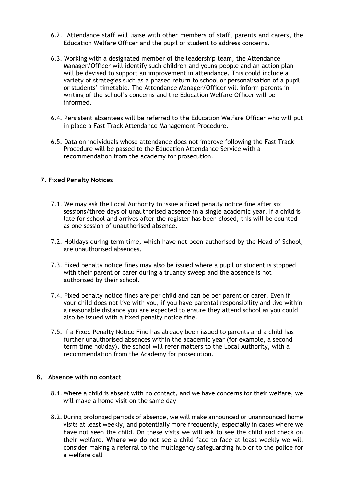- 6.2. Attendance staff will liaise with other members of staff, parents and carers, the Education Welfare Officer and the pupil or student to address concerns.
- 6.3. Working with a designated member of the leadership team, the Attendance Manager/Officer will identify such children and young people and an action plan will be devised to support an improvement in attendance. This could include a variety of strategies such as a phased return to school or personalisation of a pupil or students' timetable. The Attendance Manager/Officer will inform parents in writing of the school's concerns and the Education Welfare Officer will be informed.
- 6.4. Persistent absentees will be referred to the Education Welfare Officer who will put in place a Fast Track Attendance Management Procedure.
- 6.5. Data on individuals whose attendance does not improve following the Fast Track Procedure will be passed to the Education Attendance Service with a recommendation from the academy for prosecution.

# **7. Fixed Penalty Notices**

- 7.1. We may ask the Local Authority to issue a fixed penalty notice fine after six sessions/three days of unauthorised absence in a single academic year. If a child is late for school and arrives after the register has been closed, this will be counted as one session of unauthorised absence.
- 7.2. Holidays during term time, which have not been authorised by the Head of School, are unauthorised absences.
- 7.3. Fixed penalty notice fines may also be issued where a pupil or student is stopped with their parent or carer during a truancy sweep and the absence is not authorised by their school.
- 7.4. Fixed penalty notice fines are per child and can be per parent or carer. Even if your child does not live with you, if you have parental responsibility and live within a reasonable distance you are expected to ensure they attend school as you could also be issued with a fixed penalty notice fine.
- 7.5. If a Fixed Penalty Notice Fine has already been issued to parents and a child has further unauthorised absences within the academic year (for example, a second term time holiday), the school will refer matters to the Local Authority, with a recommendation from the Academy for prosecution.

# **8. Absence with no contact**

- 8.1. Where a child is absent with no contact, and we have concerns for their welfare, we will make a home visit on the same day
- 8.2. During prolonged periods of absence, we will make announced or unannounced home visits at least weekly, and potentially more frequently, especially in cases where we have not seen the child. On these visits we will ask to see the child and check on their welfare**. Where we do** not see a child face to face at least weekly we will consider making a referral to the multiagency safeguarding hub or to the police for a welfare call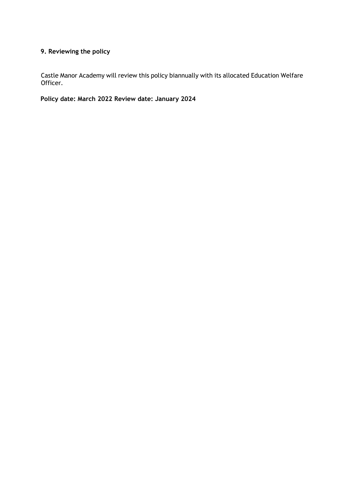# **9. Reviewing the policy**

Castle Manor Academy will review this policy biannually with its allocated Education Welfare Officer.

**Policy date: March 2022 Review date: January 2024**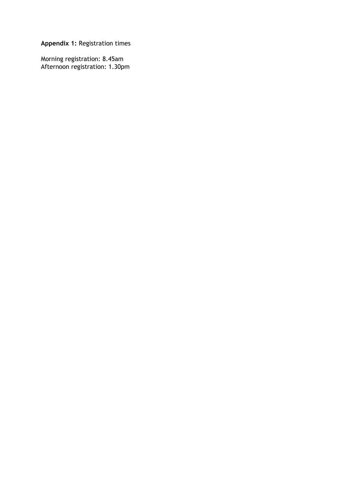**Appendix 1:** Registration times

Morning registration: 8.45am Afternoon registration: 1.30pm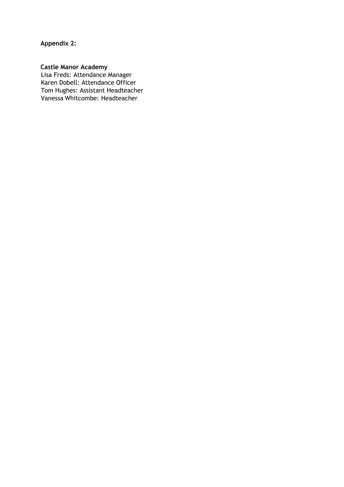**Appendix 2:** 

#### **Castle Manor Academy**

Lisa Freds: Attendance Manager Karen Dobell: Attendance Officer Tom Hughes: Assistant Headteacher Vanessa Whitcombe: Headteacher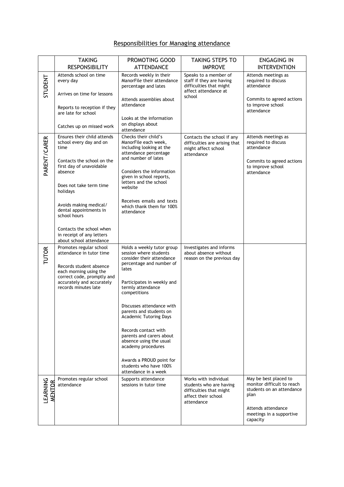# Responsibilities for Managing attendance

|                    | <b>TAKING</b><br><b>RESPONSIBILITY</b>                                                                                                                                                                                                                                                                                             | PROMOTING GOOD<br><b>ATTENDANCE</b>                                                                                                                                                                                                                                                                                                                                                                                                                                   | <b>TAKING STEPS TO</b><br><b>IMPROVE</b>                                                                         | <b>ENGAGING IN</b><br><b>INTERVENTION</b>                                                                                                              |
|--------------------|------------------------------------------------------------------------------------------------------------------------------------------------------------------------------------------------------------------------------------------------------------------------------------------------------------------------------------|-----------------------------------------------------------------------------------------------------------------------------------------------------------------------------------------------------------------------------------------------------------------------------------------------------------------------------------------------------------------------------------------------------------------------------------------------------------------------|------------------------------------------------------------------------------------------------------------------|--------------------------------------------------------------------------------------------------------------------------------------------------------|
| STUDENT            | Attends school on time<br>every day<br>Arrives on time for lessons<br>Reports to reception if they<br>are late for school<br>Catches up on missed work                                                                                                                                                                             | Records weekly in their<br>ManorFile their attendance<br>percentage and lates<br>Attends assemblies about<br>attendance<br>Looks at the information<br>on displays about                                                                                                                                                                                                                                                                                              | Speaks to a member of<br>staff if they are having<br>difficulties that might<br>affect attendance at<br>school   | Attends meetings as<br>required to discuss<br>attendance<br>Commits to agreed actions<br>to improve school<br>attendance                               |
| PARENT/CARER       | Ensures their child attends<br>school every day and on<br>time<br>Contacts the school on the<br>first day of unavoidable<br>absence<br>Does not take term time<br>holidays<br>Avoids making medical/<br>dental appointments in<br>school hours<br>Contacts the school when<br>in receipt of any letters<br>about school attendance | attendance<br>Checks their child's<br>ManorFile each week,<br>including looking at the<br>attendance percentage<br>and number of lates<br>Considers the information<br>given in school reports,<br>letters and the school<br>website<br>Receives emails and texts<br>which thank them for 100%<br>attendance                                                                                                                                                          | Contacts the school if any<br>difficulties are arising that<br>might affect school<br>attendance                 | Attends meetings as<br>required to discuss<br>attendance<br>Commits to agreed actions<br>to improve school<br>attendance                               |
| <b>TUTOR</b>       | Promotes regular school<br>attendance in tutor time<br>Records student absence<br>each morning using the<br>correct code, promptly and<br>accurately and accurately<br>records minutes late                                                                                                                                        | Holds a weekly tutor group<br>session where students<br>consider their attendance<br>percentage and number of<br>lates<br>Participates in weekly and<br>termly attendance<br>competitions<br>Discusses attendance with<br>parents and students on<br><b>Academic Tutoring Days</b><br>Records contact with<br>parents and carers about<br>absence using the usual<br>academy procedures<br>Awards a PROUD point for<br>students who have 100%<br>attendance in a week | Investigates and informs<br>about absence without<br>reason on the previous day                                  |                                                                                                                                                        |
| LEARNING<br>MENTOR | Promotes regular school<br>attendance                                                                                                                                                                                                                                                                                              | Supports attendance<br>sessions in tutor time                                                                                                                                                                                                                                                                                                                                                                                                                         | Works with individual<br>students who are having<br>difficulties that might<br>affect their school<br>attendance | May be best placed to<br>monitor difficult to reach<br>students on an attendance<br>plan<br>Attends attendance<br>meetings in a supportive<br>capacity |